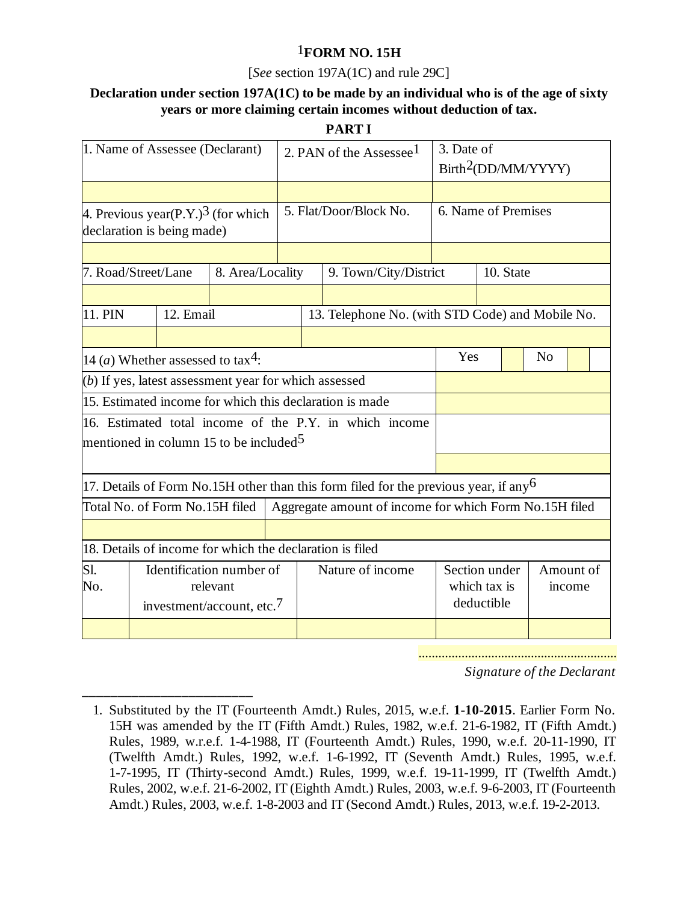## 1**FORM NO. 15H**

### [*See* section 197A(1C) and rule 29C]

# **Declaration under section 197A(1C) to be made by an individual who is of the age of sixty years or more claiming certain incomes without deduction of tax.**

#### **PART I**

| 1. Name of Assessee (Declarant)                                              |                                                   |  |                       | 2. PAN of the Assessee <sup>1</sup>                    |                                                                                         |           | 3. Date of<br>Birth <sup>2</sup> (DD/MM/YYYY)    |                |  |  |  |
|------------------------------------------------------------------------------|---------------------------------------------------|--|-----------------------|--------------------------------------------------------|-----------------------------------------------------------------------------------------|-----------|--------------------------------------------------|----------------|--|--|--|
|                                                                              |                                                   |  |                       |                                                        |                                                                                         |           |                                                  |                |  |  |  |
| 4. Previous year(P.Y.) <sup>3</sup> (for which<br>declaration is being made) |                                                   |  |                       | 5. Flat/Door/Block No.                                 |                                                                                         |           | 6. Name of Premises                              |                |  |  |  |
|                                                                              |                                                   |  |                       |                                                        |                                                                                         |           |                                                  |                |  |  |  |
| 7. Road/Street/Lane<br>8. Area/Locality                                      |                                                   |  | 9. Town/City/District |                                                        |                                                                                         | 10. State |                                                  |                |  |  |  |
|                                                                              |                                                   |  |                       |                                                        |                                                                                         |           |                                                  |                |  |  |  |
| 11. PIN                                                                      | 12. Email                                         |  |                       |                                                        |                                                                                         |           | 13. Telephone No. (with STD Code) and Mobile No. |                |  |  |  |
|                                                                              |                                                   |  |                       |                                                        |                                                                                         |           |                                                  |                |  |  |  |
| 14 ( <i>a</i> ) Whether assessed to tax <sup>4</sup> :                       |                                                   |  |                       |                                                        |                                                                                         | Yes       |                                                  | N <sub>o</sub> |  |  |  |
| (b) If yes, latest assessment year for which assessed                        |                                                   |  |                       |                                                        |                                                                                         |           |                                                  |                |  |  |  |
| 15. Estimated income for which this declaration is made                      |                                                   |  |                       |                                                        |                                                                                         |           |                                                  |                |  |  |  |
| 16. Estimated total income of the P.Y. in which income                       |                                                   |  |                       |                                                        |                                                                                         |           |                                                  |                |  |  |  |
| mentioned in column 15 to be included <sup>5</sup>                           |                                                   |  |                       |                                                        |                                                                                         |           |                                                  |                |  |  |  |
|                                                                              |                                                   |  |                       |                                                        |                                                                                         |           |                                                  |                |  |  |  |
|                                                                              |                                                   |  |                       |                                                        | 17. Details of Form No.15H other than this form filed for the previous year, if any $6$ |           |                                                  |                |  |  |  |
| Total No. of Form No.15H filed                                               |                                                   |  |                       | Aggregate amount of income for which Form No.15H filed |                                                                                         |           |                                                  |                |  |  |  |
|                                                                              |                                                   |  |                       |                                                        |                                                                                         |           |                                                  |                |  |  |  |
| 18. Details of income for which the declaration is filed                     |                                                   |  |                       |                                                        |                                                                                         |           |                                                  |                |  |  |  |
| Sl.                                                                          | Identification number of                          |  |                       | Nature of income                                       |                                                                                         |           | Section under                                    | Amount of      |  |  |  |
| No.                                                                          | relevant<br>investment/account, etc. <sup>7</sup> |  |                       |                                                        |                                                                                         |           | which tax is<br>income<br>deductible             |                |  |  |  |
|                                                                              |                                                   |  |                       |                                                        |                                                                                         |           |                                                  |                |  |  |  |
|                                                                              |                                                   |  |                       |                                                        |                                                                                         |           |                                                  |                |  |  |  |

*Signature of the Declarant*

**\_\_\_\_\_\_\_\_\_\_\_\_\_\_\_\_\_\_\_\_\_\_\_\_**

 <sup>1.</sup> Substituted by the IT (Fourteenth Amdt.) Rules, 2015, w.e.f. **1-10-2015**. Earlier Form No. 15H was amended by the IT (Fifth Amdt.) Rules, 1982, w.e.f. 21-6-1982, IT (Fifth Amdt.) Rules, 1989, w.r.e.f. 1-4-1988, IT (Fourteenth Amdt.) Rules, 1990, w.e.f. 20-11-1990, IT (Twelfth Amdt.) Rules, 1992, w.e.f. 1-6-1992, IT (Seventh Amdt.) Rules, 1995, w.e.f. 1-7-1995, IT (Thirty-second Amdt.) Rules, 1999, w.e.f. 19-11-1999, IT (Twelfth Amdt.) Rules, 2002, w.e.f. 21-6-2002, IT (Eighth Amdt.) Rules, 2003, w.e.f. 9-6-2003, IT (Fourteenth Amdt.) Rules, 2003, w.e.f. 1-8-2003 and IT (Second Amdt.) Rules, 2013, w.e.f. 19-2-2013.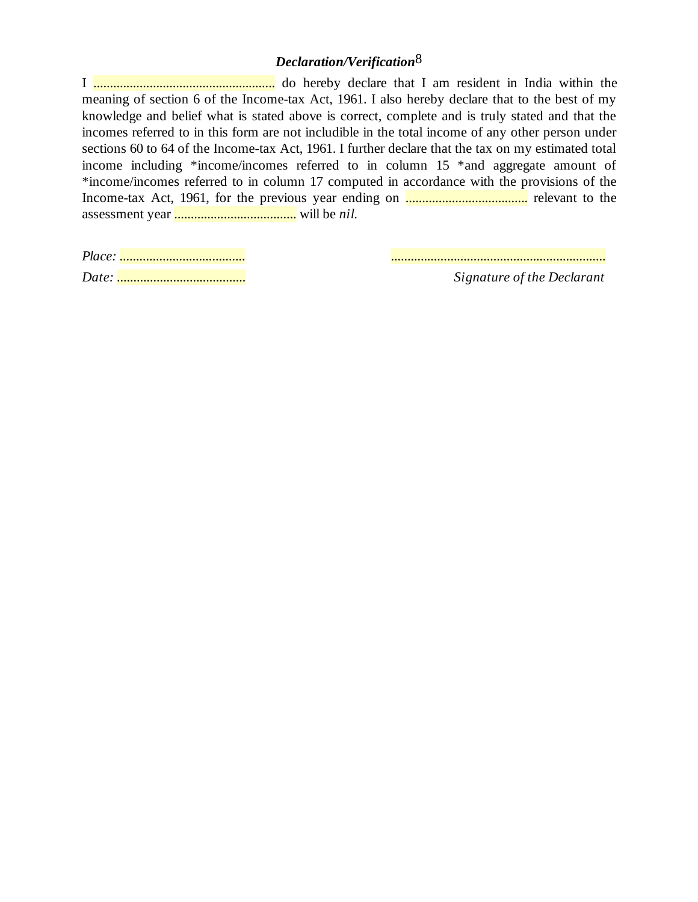# *Declaration/Verification*8

I ....................................................... do hereby declare that I am resident in India within the meaning of section 6 of the Income-tax Act, 1961. I also hereby declare that to the best of my knowledge and belief what is stated above is correct, complete and is truly stated and that the incomes referred to in this form are not includible in the total income of any other person under sections 60 to 64 of the Income-tax Act, 1961. I further declare that the tax on my estimated total income including \*income/incomes referred to in column 15 \*and aggregate amount of \*income/incomes referred to in column 17 computed in accordance with the provisions of the Income-tax Act, 1961, for the previous year ending on ..................................... relevant to the assessment year ..................................... will be *nil*.

*Place: ...................................... .................................................................*

*Date: ....................................... Signature of the Declarant*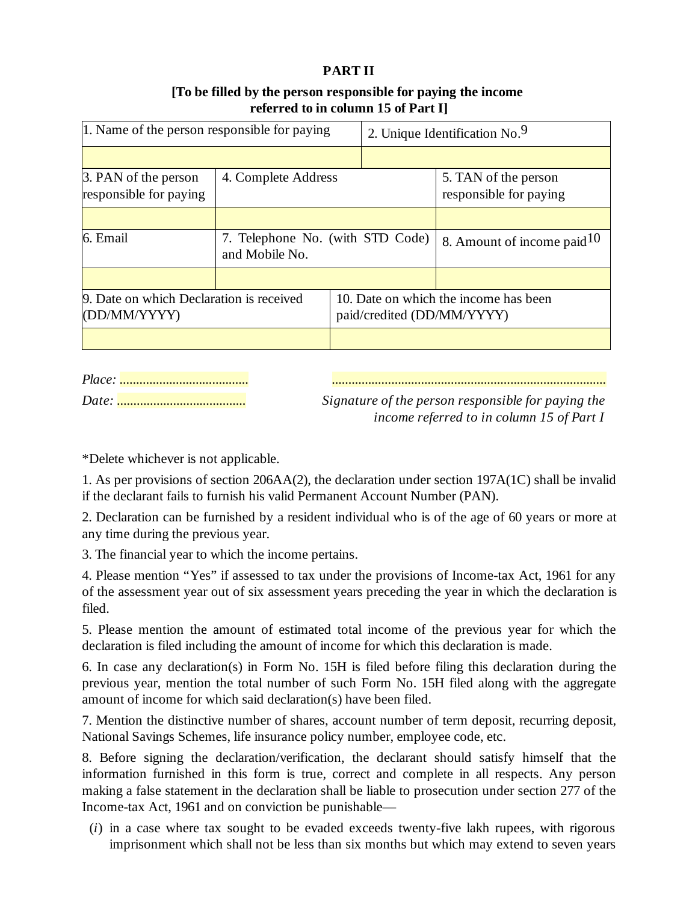### **PART II**

## **[To be filled by the person responsible for paying the income referred to in column 15 of Part I]**

| 1. Name of the person responsible for paying             |                                                    |                                                                     | 2. Unique Identification No. <sup>9</sup> |                               |  |
|----------------------------------------------------------|----------------------------------------------------|---------------------------------------------------------------------|-------------------------------------------|-------------------------------|--|
|                                                          |                                                    |                                                                     |                                           |                               |  |
| 3. PAN of the person<br>4. Complete Address              |                                                    |                                                                     |                                           | 5. TAN of the person          |  |
| responsible for paying                                   |                                                    |                                                                     |                                           | responsible for paying        |  |
|                                                          |                                                    |                                                                     |                                           |                               |  |
| 6. Email                                                 | 7. Telephone No. (with STD Code)<br>and Mobile No. |                                                                     |                                           | 8. Amount of income paid $10$ |  |
|                                                          |                                                    |                                                                     |                                           |                               |  |
| 9. Date on which Declaration is received<br>(DD/MM/YYYY) |                                                    | 10. Date on which the income has been<br>paid/credited (DD/MM/YYYY) |                                           |                               |  |
|                                                          |                                                    |                                                                     |                                           |                               |  |

*Place: ....................................... ...................................................................................*

*Date: ....................................... Signature of the person responsible for paying the income referred to in column 15 of Part I*

\*Delete whichever is not applicable.

1. As per provisions of section 206AA(2), the declaration under section 197A(1C) shall be invalid if the declarant fails to furnish his valid Permanent Account Number (PAN).

2. Declaration can be furnished by a resident individual who is of the age of 60 years or more at any time during the previous year.

3. The financial year to which the income pertains.

4. Please mention "Yes" if assessed to tax under the provisions of Income-tax Act, 1961 for any of the assessment year out of six assessment years preceding the year in which the declaration is filed.

5. Please mention the amount of estimated total income of the previous year for which the declaration is filed including the amount of income for which this declaration is made.

6. In case any declaration(s) in Form No. 15H is filed before filing this declaration during the previous year, mention the total number of such Form No. 15H filed along with the aggregate amount of income for which said declaration(s) have been filed.

7. Mention the distinctive number of shares, account number of term deposit, recurring deposit, National Savings Schemes, life insurance policy number, employee code, etc.

8. Before signing the declaration/verification, the declarant should satisfy himself that the information furnished in this form is true, correct and complete in all respects. Any person making a false statement in the declaration shall be liable to prosecution under section 277 of the Income-tax Act, 1961 and on conviction be punishable—

 (*i*) in a case where tax sought to be evaded exceeds twenty-five lakh rupees, with rigorous imprisonment which shall not be less than six months but which may extend to seven years